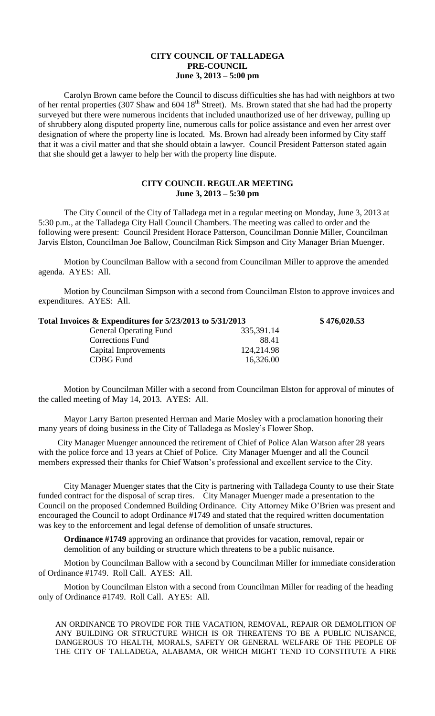## **CITY COUNCIL OF TALLADEGA PRE-COUNCIL June 3, 2013 – 5:00 pm**

Carolyn Brown came before the Council to discuss difficulties she has had with neighbors at two of her rental properties (307 Shaw and 604 18<sup>th</sup> Street). Ms. Brown stated that she had had the property surveyed but there were numerous incidents that included unauthorized use of her driveway, pulling up of shrubbery along disputed property line, numerous calls for police assistance and even her arrest over designation of where the property line is located. Ms. Brown had already been informed by City staff that it was a civil matter and that she should obtain a lawyer. Council President Patterson stated again that she should get a lawyer to help her with the property line dispute.

## **CITY COUNCIL REGULAR MEETING June 3, 2013 – 5:30 pm**

The City Council of the City of Talladega met in a regular meeting on Monday, June 3, 2013 at 5:30 p.m., at the Talladega City Hall Council Chambers. The meeting was called to order and the following were present: Council President Horace Patterson, Councilman Donnie Miller, Councilman Jarvis Elston, Councilman Joe Ballow, Councilman Rick Simpson and City Manager Brian Muenger.

Motion by Councilman Ballow with a second from Councilman Miller to approve the amended agenda. AYES: All.

Motion by Councilman Simpson with a second from Councilman Elston to approve invoices and expenditures. AYES: All.

| Total Invoices & Expenditures for 5/23/2013 to 5/31/2013 |            | \$476,020.53 |
|----------------------------------------------------------|------------|--------------|
| <b>General Operating Fund</b>                            | 335,391.14 |              |
| <b>Corrections Fund</b>                                  | 88.41      |              |
| Capital Improvements                                     | 124,214.98 |              |
| CDBG Fund                                                | 16,326.00  |              |

Motion by Councilman Miller with a second from Councilman Elston for approval of minutes of the called meeting of May 14, 2013. AYES: All.

Mayor Larry Barton presented Herman and Marie Mosley with a proclamation honoring their many years of doing business in the City of Talladega as Mosley's Flower Shop.

City Manager Muenger announced the retirement of Chief of Police Alan Watson after 28 years with the police force and 13 years at Chief of Police. City Manager Muenger and all the Council members expressed their thanks for Chief Watson's professional and excellent service to the City.

City Manager Muenger states that the City is partnering with Talladega County to use their State funded contract for the disposal of scrap tires. City Manager Muenger made a presentation to the Council on the proposed Condemned Building Ordinance. City Attorney Mike O'Brien was present and encouraged the Council to adopt Ordinance #1749 and stated that the required written documentation was key to the enforcement and legal defense of demolition of unsafe structures.

**Ordinance #1749** approving an ordinance that provides for vacation, removal, repair or demolition of any building or structure which threatens to be a public nuisance.

Motion by Councilman Ballow with a second by Councilman Miller for immediate consideration of Ordinance #1749. Roll Call. AYES: All.

Motion by Councilman Elston with a second from Councilman Miller for reading of the heading only of Ordinance #1749. Roll Call. AYES: All.

AN ORDINANCE TO PROVIDE FOR THE VACATION, REMOVAL, REPAIR OR DEMOLITION OF ANY BUILDING OR STRUCTURE WHICH IS OR THREATENS TO BE A PUBLIC NUISANCE, DANGEROUS TO HEALTH, MORALS, SAFETY OR GENERAL WELFARE OF THE PEOPLE OF THE CITY OF TALLADEGA, ALABAMA, OR WHICH MIGHT TEND TO CONSTITUTE A FIRE